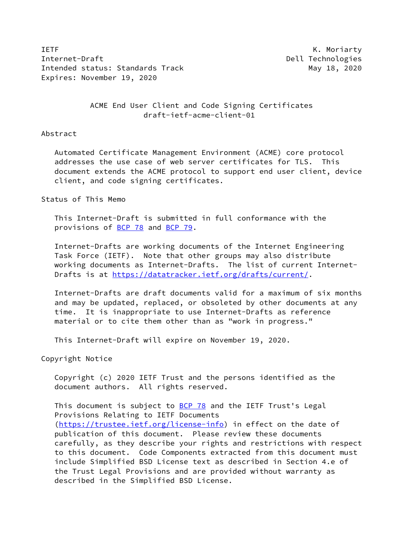**IETF** K. Moriarty Internet-Draft **Dell Technologies** Intended status: Standards Track May 18, 2020 Expires: November 19, 2020

 ACME End User Client and Code Signing Certificates draft-ietf-acme-client-01

#### Abstract

 Automated Certificate Management Environment (ACME) core protocol addresses the use case of web server certificates for TLS. This document extends the ACME protocol to support end user client, device client, and code signing certificates.

# Status of This Memo

 This Internet-Draft is submitted in full conformance with the provisions of [BCP 78](https://datatracker.ietf.org/doc/pdf/bcp78) and [BCP 79](https://datatracker.ietf.org/doc/pdf/bcp79).

 Internet-Drafts are working documents of the Internet Engineering Task Force (IETF). Note that other groups may also distribute working documents as Internet-Drafts. The list of current Internet Drafts is at<https://datatracker.ietf.org/drafts/current/>.

 Internet-Drafts are draft documents valid for a maximum of six months and may be updated, replaced, or obsoleted by other documents at any time. It is inappropriate to use Internet-Drafts as reference material or to cite them other than as "work in progress."

This Internet-Draft will expire on November 19, 2020.

Copyright Notice

 Copyright (c) 2020 IETF Trust and the persons identified as the document authors. All rights reserved.

This document is subject to **[BCP 78](https://datatracker.ietf.org/doc/pdf/bcp78)** and the IETF Trust's Legal Provisions Relating to IETF Documents [\(https://trustee.ietf.org/license-info](https://trustee.ietf.org/license-info)) in effect on the date of publication of this document. Please review these documents carefully, as they describe your rights and restrictions with respect to this document. Code Components extracted from this document must include Simplified BSD License text as described in Section 4.e of the Trust Legal Provisions and are provided without warranty as described in the Simplified BSD License.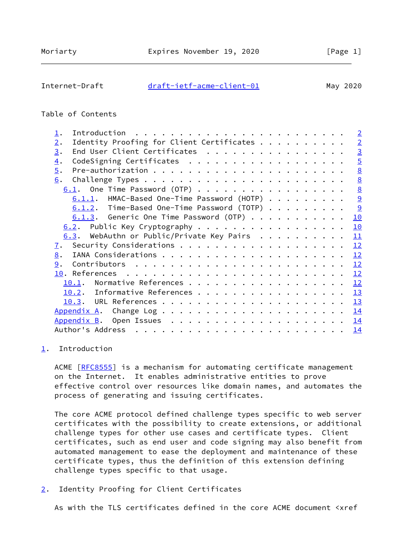### <span id="page-1-1"></span>Internet-Draft [draft-ietf-acme-client-01](https://datatracker.ietf.org/doc/pdf/draft-ietf-acme-client-01) May 2020

# Table of Contents

| $\mathbf{\underline{1}}$ .                      | $\overline{2}$  |
|-------------------------------------------------|-----------------|
| Identity Proofing for Client Certificates<br>2. | $\overline{2}$  |
| End User Client Certificates<br>3.              | $\overline{3}$  |
| CodeSigning Certificates<br>$\overline{4}$ .    | $\overline{5}$  |
| $\overline{5}$ .                                | $\underline{8}$ |
| 6.                                              | $\underline{8}$ |
| $6.1$ . One Time Password (OTP)                 | $\underline{8}$ |
| $6.1.1$ . HMAC-Based One-Time Password (HOTP)   | 9               |
| $6.1.2$ . Time-Based One-Time Password (TOTP)   | 9               |
| $6.1.3$ . Generic One Time Password (OTP)       | 10              |
| $6.2$ . Public Key Cryptography                 | 10              |
| 6.3. WebAuthn or Public/Private Key Pairs       | 11              |
| <u>7</u> .                                      | 12              |
| 8.                                              | 12              |
| 9.                                              | 12              |
|                                                 | 12              |
| Normative References<br>10.1.                   | 12              |
| Informative References<br>10.2.                 | 13              |
|                                                 | 13              |
| Appendix A.                                     | 14              |
|                                                 | 14              |
| Author's Address                                | 14              |
|                                                 |                 |

### <span id="page-1-0"></span>[1](#page-1-0). Introduction

ACME [\[RFC8555](https://datatracker.ietf.org/doc/pdf/rfc8555)] is a mechanism for automating certificate management on the Internet. It enables administrative entities to prove effective control over resources like domain names, and automates the process of generating and issuing certificates.

 The core ACME protocol defined challenge types specific to web server certificates with the possibility to create extensions, or additional challenge types for other use cases and certificate types. Client certificates, such as end user and code signing may also benefit from automated management to ease the deployment and maintenance of these certificate types, thus the definition of this extension defining challenge types specific to that usage.

<span id="page-1-2"></span>[2](#page-1-2). Identity Proofing for Client Certificates

As with the TLS certificates defined in the core ACME document <xref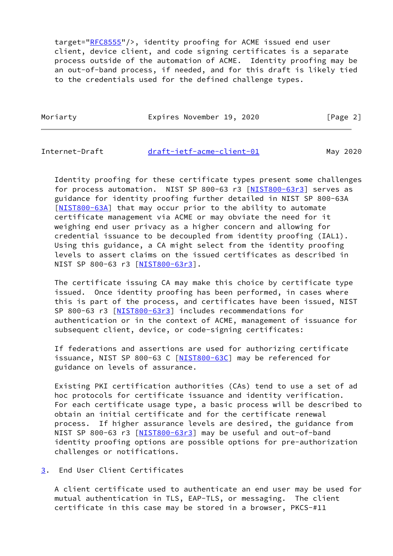target=["RFC8555](https://datatracker.ietf.org/doc/pdf/rfc8555)"/>, identity proofing for ACME issued end user client, device client, and code signing certificates is a separate process outside of the automation of ACME. Identity proofing may be an out-of-band process, if needed, and for this draft is likely tied to the credentials used for the defined challenge types.

Moriarty **Expires November 19, 2020** [Page 2]

<span id="page-2-1"></span>

Internet-Draft [draft-ietf-acme-client-01](https://datatracker.ietf.org/doc/pdf/draft-ietf-acme-client-01) May 2020

 Identity proofing for these certificate types present some challenges for process automation. NIST SP 800-63 r3 [[NIST800-63r3\]](#page-14-3) serves as guidance for identity proofing further detailed in NIST SP 800-63A [\[NIST800-63A](#page-13-3)] that may occur prior to the ability to automate certificate management via ACME or may obviate the need for it weighing end user privacy as a higher concern and allowing for credential issuance to be decoupled from identity proofing (IAL1). Using this guidance, a CA might select from the identity proofing levels to assert claims on the issued certificates as described in NIST SP 800-63 r3 [[NIST800-63r3\]](#page-14-3).

 The certificate issuing CA may make this choice by certificate type issued. Once identity proofing has been performed, in cases where this is part of the process, and certificates have been issued, NIST SP 800-63 r3 [\[NIST800-63r3](#page-14-3)] includes recommendations for authentication or in the context of ACME, management of issuance for subsequent client, device, or code-signing certificates:

 If federations and assertions are used for authorizing certificate issuance, NIST SP 800-63 C [[NIST800-63C\]](#page-13-4) may be referenced for guidance on levels of assurance.

 Existing PKI certification authorities (CAs) tend to use a set of ad hoc protocols for certificate issuance and identity verification. For each certificate usage type, a basic process will be described to obtain an initial certificate and for the certificate renewal process. If higher assurance levels are desired, the guidance from NIST SP 800-63 r3 [[NIST800-63r3\]](#page-14-3) may be useful and out-of-band identity proofing options are possible options for pre-authorization challenges or notifications.

<span id="page-2-0"></span>[3](#page-2-0). End User Client Certificates

 A client certificate used to authenticate an end user may be used for mutual authentication in TLS, EAP-TLS, or messaging. The client certificate in this case may be stored in a browser, PKCS-#11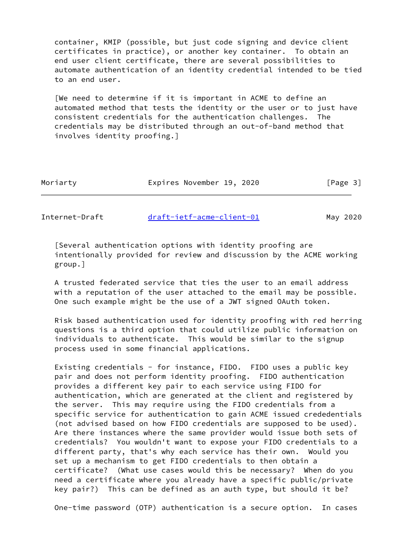container, KMIP (possible, but just code signing and device client certificates in practice), or another key container. To obtain an end user client certificate, there are several possibilities to automate authentication of an identity credential intended to be tied to an end user.

 [We need to determine if it is important in ACME to define an automated method that tests the identity or the user or to just have consistent credentials for the authentication challenges. The credentials may be distributed through an out-of-band method that involves identity proofing.]

| Moriarty | Expires November 19, 2020 |  | [Page 3] |
|----------|---------------------------|--|----------|
|----------|---------------------------|--|----------|

Internet-Draft [draft-ietf-acme-client-01](https://datatracker.ietf.org/doc/pdf/draft-ietf-acme-client-01) May 2020

 [Several authentication options with identity proofing are intentionally provided for review and discussion by the ACME working group.]

 A trusted federated service that ties the user to an email address with a reputation of the user attached to the email may be possible. One such example might be the use of a JWT signed OAuth token.

 Risk based authentication used for identity proofing with red herring questions is a third option that could utilize public information on individuals to authenticate. This would be similar to the signup process used in some financial applications.

 Existing credentials - for instance, FIDO. FIDO uses a public key pair and does not perform identity proofing. FIDO authentication provides a different key pair to each service using FIDO for authentication, which are generated at the client and registered by the server. This may require using the FIDO credentials from a specific service for authentication to gain ACME issued crededentials (not advised based on how FIDO credentials are supposed to be used). Are there instances where the same provider would issue both sets of credentials? You wouldn't want to expose your FIDO credentials to a different party, that's why each service has their own. Would you set up a mechanism to get FIDO credentials to then obtain a certificate? (What use cases would this be necessary? When do you need a certificate where you already have a specific public/private key pair?) This can be defined as an auth type, but should it be?

One-time password (OTP) authentication is a secure option. In cases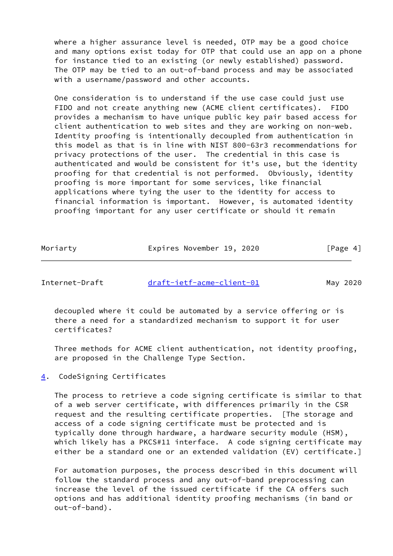where a higher assurance level is needed, OTP may be a good choice and many options exist today for OTP that could use an app on a phone for instance tied to an existing (or newly established) password. The OTP may be tied to an out-of-band process and may be associated with a username/password and other accounts.

 One consideration is to understand if the use case could just use FIDO and not create anything new (ACME client certificates). FIDO provides a mechanism to have unique public key pair based access for client authentication to web sites and they are working on non-web. Identity proofing is intentionally decoupled from authentication in this model as that is in line with NIST 800-63r3 recommendations for privacy protections of the user. The credential in this case is authenticated and would be consistent for it's use, but the identity proofing for that credential is not performed. Obviously, identity proofing is more important for some services, like financial applications where tying the user to the identity for access to financial information is important. However, is automated identity proofing important for any user certificate or should it remain

| Moriarty | Expires November 19, 2020 |  | [Page 4] |
|----------|---------------------------|--|----------|
|          |                           |  |          |

<span id="page-4-1"></span>Internet-Draft [draft-ietf-acme-client-01](https://datatracker.ietf.org/doc/pdf/draft-ietf-acme-client-01) May 2020

 decoupled where it could be automated by a service offering or is there a need for a standardized mechanism to support it for user certificates?

 Three methods for ACME client authentication, not identity proofing, are proposed in the Challenge Type Section.

<span id="page-4-0"></span>[4](#page-4-0). CodeSigning Certificates

 The process to retrieve a code signing certificate is similar to that of a web server certificate, with differences primarily in the CSR request and the resulting certificate properties. [The storage and access of a code signing certificate must be protected and is typically done through hardware, a hardware security module (HSM), which likely has a PKCS#11 interface. A code signing certificate may either be a standard one or an extended validation (EV) certificate.]

 For automation purposes, the process described in this document will follow the standard process and any out-of-band preprocessing can increase the level of the issued certificate if the CA offers such options and has additional identity proofing mechanisms (in band or out-of-band).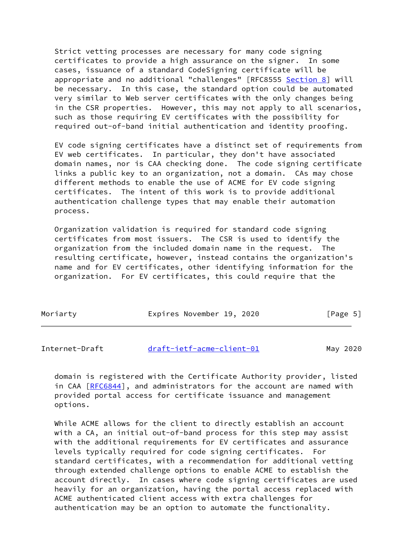Strict vetting processes are necessary for many code signing certificates to provide a high assurance on the signer. In some cases, issuance of a standard CodeSigning certificate will be appropriate and no additional "challenges" [RFC8555 [Section 8\]](#page-12-2) will be necessary. In this case, the standard option could be automated very similar to Web server certificates with the only changes being in the CSR properties. However, this may not apply to all scenarios, such as those requiring EV certificates with the possibility for required out-of-band initial authentication and identity proofing.

 EV code signing certificates have a distinct set of requirements from EV web certificates. In particular, they don't have associated domain names, nor is CAA checking done. The code signing certificate links a public key to an organization, not a domain. CAs may chose different methods to enable the use of ACME for EV code signing certificates. The intent of this work is to provide additional authentication challenge types that may enable their automation process.

 Organization validation is required for standard code signing certificates from most issuers. The CSR is used to identify the organization from the included domain name in the request. The resulting certificate, however, instead contains the organization's name and for EV certificates, other identifying information for the organization. For EV certificates, this could require that the

| Moriarty | Expires November 19, 2020 |  | [Page 5] |
|----------|---------------------------|--|----------|
|----------|---------------------------|--|----------|

| Internet-Draft | draft-ietf-acme-client-01 | May 2020 |  |
|----------------|---------------------------|----------|--|
|                |                           |          |  |

 domain is registered with the Certificate Authority provider, listed in CAA [\[RFC6844](https://datatracker.ietf.org/doc/pdf/rfc6844)], and administrators for the account are named with provided portal access for certificate issuance and management options.

 While ACME allows for the client to directly establish an account with a CA, an initial out-of-band process for this step may assist with the additional requirements for EV certificates and assurance levels typically required for code signing certificates. For standard certificates, with a recommendation for additional vetting through extended challenge options to enable ACME to establish the account directly. In cases where code signing certificates are used heavily for an organization, having the portal access replaced with ACME authenticated client access with extra challenges for authentication may be an option to automate the functionality.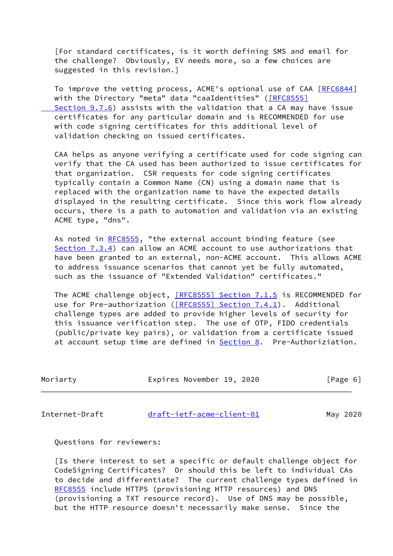[For standard certificates, is it worth defining SMS and email for the challenge? Obviously, EV needs more, so a few choices are suggested in this revision.]

To improve the vetting process, ACME's optional use of CAA [[RFC6844\]](https://datatracker.ietf.org/doc/pdf/rfc6844) with the Directory "meta" data "caaIdentities" [\(\[RFC8555\]](https://datatracker.ietf.org/doc/pdf/rfc8555#section-9.7.6)  [Section](https://datatracker.ietf.org/doc/pdf/rfc8555#section-9.7.6) 9.7.6) assists with the validation that a CA may have issue certificates for any particular domain and is RECOMMENDED for use with code signing certificates for this additional level of validation checking on issued certificates.

 CAA helps as anyone verifying a certificate used for code signing can verify that the CA used has been authorized to issue certificates for that organization. CSR requests for code signing certificates typically contain a Common Name (CN) using a domain name that is replaced with the organization name to have the expected details displayed in the resulting certificate. Since this work flow already occurs, there is a path to automation and validation via an existing ACME type, "dns".

As noted in [RFC8555,](https://datatracker.ietf.org/doc/pdf/rfc8555) "the external account binding feature (see Section 7.3.4) can allow an ACME account to use authorizations that have been granted to an external, non-ACME account. This allows ACME to address issuance scenarios that cannot yet be fully automated, such as the issuance of "Extended Validation" certificates."

The ACME challenge object, [\[RFC8555\] Section](https://datatracker.ietf.org/doc/pdf/rfc8555#section-7.1.5) 7.1.5 is RECOMMENDED for use for Pre-authorization ([\[RFC8555\] Section](https://datatracker.ietf.org/doc/pdf/rfc8555#section-7.4.1) 7.4.1). Additional challenge types are added to provide higher levels of security for this issuance verification step. The use of OTP, FIDO credentials (public/private key pairs), or validation from a certificate issued at account setup time are defined in **Section 8**. Pre-Authoriziation.

| Moriarty | Expires November 19, 2020 | [Page 6] |
|----------|---------------------------|----------|
|          |                           |          |

Internet-Draft [draft-ietf-acme-client-01](https://datatracker.ietf.org/doc/pdf/draft-ietf-acme-client-01) May 2020

Questions for reviewers:

 [Is there interest to set a specific or default challenge object for CodeSigning Certificates? Or should this be left to individual CAs to decide and differentiate? The current challenge types defined in [RFC8555](https://datatracker.ietf.org/doc/pdf/rfc8555) include HTTPS (provisioning HTTP resources) and DNS (provisioning a TXT resource record). Use of DNS may be possible, but the HTTP resource doesn't necessarily make sense. Since the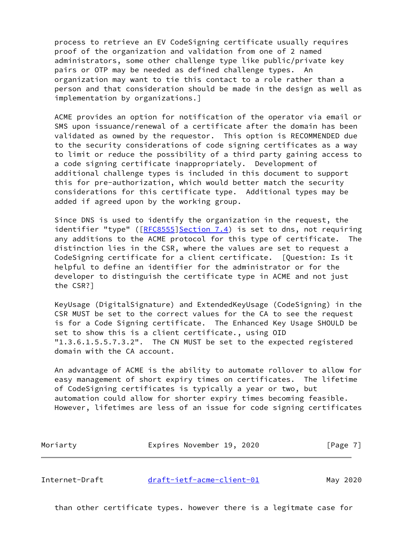process to retrieve an EV CodeSigning certificate usually requires proof of the organization and validation from one of 2 named administrators, some other challenge type like public/private key pairs or OTP may be needed as defined challenge types. An organization may want to tie this contact to a role rather than a person and that consideration should be made in the design as well as implementation by organizations.]

 ACME provides an option for notification of the operator via email or SMS upon issuance/renewal of a certificate after the domain has been validated as owned by the requestor. This option is RECOMMENDED due to the security considerations of code signing certificates as a way to limit or reduce the possibility of a third party gaining access to a code signing certificate inappropriately. Development of additional challenge types is included in this document to support this for pre-authorization, which would better match the security considerations for this certificate type. Additional types may be added if agreed upon by the working group.

 Since DNS is used to identify the organization in the request, the identifier "type" ( $[RECS555]$  Section 7.4) is set to dns, not requiring any additions to the ACME protocol for this type of certificate. The distinction lies in the CSR, where the values are set to request a CodeSigning certificate for a client certificate. [Question: Is it helpful to define an identifier for the administrator or for the developer to distinguish the certificate type in ACME and not just the CSR?]

 KeyUsage (DigitalSignature) and ExtendedKeyUsage (CodeSigning) in the CSR MUST be set to the correct values for the CA to see the request is for a Code Signing certificate. The Enhanced Key Usage SHOULD be set to show this is a client certificate., using OID "1.3.6.1.5.5.7.3.2". The CN MUST be set to the expected registered domain with the CA account.

 An advantage of ACME is the ability to automate rollover to allow for easy management of short expiry times on certificates. The lifetime of CodeSigning certificates is typically a year or two, but automation could allow for shorter expiry times becoming feasible. However, lifetimes are less of an issue for code signing certificates

| Moriarty | Expires November 19, 2020 |  | [Page 7] |
|----------|---------------------------|--|----------|
|          |                           |  |          |

<span id="page-7-0"></span>Internet-Draft [draft-ietf-acme-client-01](https://datatracker.ietf.org/doc/pdf/draft-ietf-acme-client-01) May 2020

than other certificate types. however there is a legitmate case for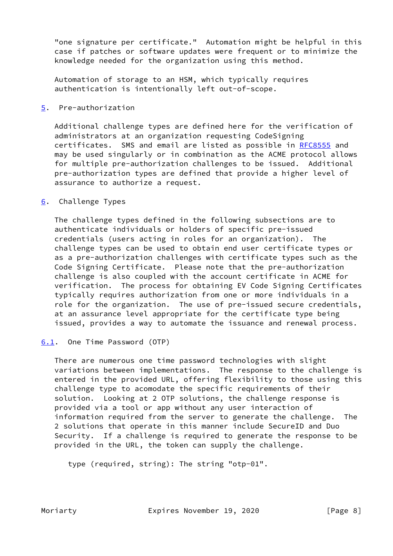"one signature per certificate." Automation might be helpful in this case if patches or software updates were frequent or to minimize the knowledge needed for the organization using this method.

 Automation of storage to an HSM, which typically requires authentication is intentionally left out-of-scope.

# <span id="page-8-0"></span>[5](#page-8-0). Pre-authorization

 Additional challenge types are defined here for the verification of administrators at an organization requesting CodeSigning certificates. SMS and email are listed as possible in [RFC8555](https://datatracker.ietf.org/doc/pdf/rfc8555) and may be used singularly or in combination as the ACME protocol allows for multiple pre-authorization challenges to be issued. Additional pre-authorization types are defined that provide a higher level of assurance to authorize a request.

# <span id="page-8-1"></span>[6](#page-8-1). Challenge Types

 The challenge types defined in the following subsections are to authenticate individuals or holders of specific pre-issued credentials (users acting in roles for an organization). The challenge types can be used to obtain end user certificate types or as a pre-authorization challenges with certificate types such as the Code Signing Certificate. Please note that the pre-authorization challenge is also coupled with the account certificate in ACME for verification. The process for obtaining EV Code Signing Certificates typically requires authorization from one or more individuals in a role for the organization. The use of pre-issued secure credentials, at an assurance level appropriate for the certificate type being issued, provides a way to automate the issuance and renewal process.

### <span id="page-8-2"></span>[6.1](#page-8-2). One Time Password (OTP)

 There are numerous one time password technologies with slight variations between implementations. The response to the challenge is entered in the provided URL, offering flexibility to those using this challenge type to acomodate the specific requirements of their solution. Looking at 2 OTP solutions, the challenge response is provided via a tool or app without any user interaction of information required from the server to generate the challenge. The 2 solutions that operate in this manner include SecureID and Duo Security. If a challenge is required to generate the response to be provided in the URL, the token can supply the challenge.

type (required, string): The string "otp-01".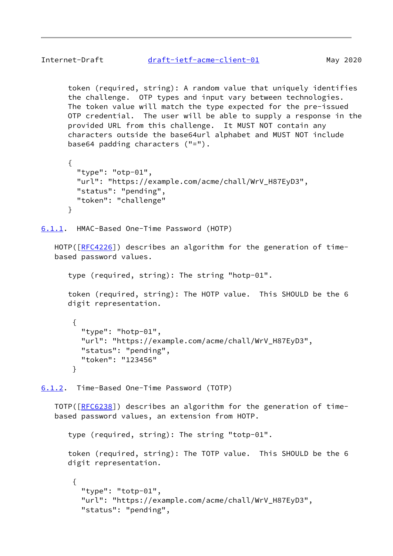<span id="page-9-1"></span> token (required, string): A random value that uniquely identifies the challenge. OTP types and input vary between technologies. The token value will match the type expected for the pre-issued OTP credential. The user will be able to supply a response in the provided URL from this challenge. It MUST NOT contain any characters outside the base64url alphabet and MUST NOT include base64 padding characters ("=").

```
 {
  "type": "otp-01",
  "url": "https://example.com/acme/chall/WrV_H87EyD3",
  "status": "pending",
  "token": "challenge"
}
```
<span id="page-9-0"></span>[6.1.1](#page-9-0). HMAC-Based One-Time Password (HOTP)

HOTP([\[RFC4226](https://datatracker.ietf.org/doc/pdf/rfc4226)]) describes an algorithm for the generation of timebased password values.

type (required, string): The string "hotp-01".

 token (required, string): The HOTP value. This SHOULD be the 6 digit representation.

```
 {
  "type": "hotp-01",
  "url": "https://example.com/acme/chall/WrV_H87EyD3",
  "status": "pending",
  "token": "123456"
}
```
<span id="page-9-2"></span>[6.1.2](#page-9-2). Time-Based One-Time Password (TOTP)

 TOTP([\[RFC6238](https://datatracker.ietf.org/doc/pdf/rfc6238)]) describes an algorithm for the generation of time based password values, an extension from HOTP.

type (required, string): The string "totp-01".

 token (required, string): The TOTP value. This SHOULD be the 6 digit representation.

```
 {
  "type": "totp-01",
  "url": "https://example.com/acme/chall/WrV_H87EyD3",
  "status": "pending",
```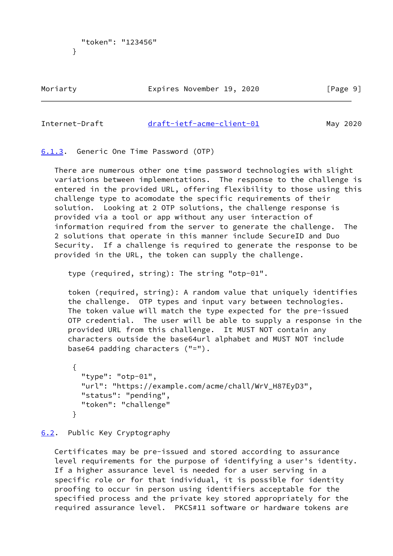```
 "token": "123456"
}
```
Moriarty **Expires November 19, 2020** [Page 9]

# <span id="page-10-1"></span>Internet-Draft [draft-ietf-acme-client-01](https://datatracker.ietf.org/doc/pdf/draft-ietf-acme-client-01) May 2020

<span id="page-10-0"></span>[6.1.3](#page-10-0). Generic One Time Password (OTP)

 There are numerous other one time password technologies with slight variations between implementations. The response to the challenge is entered in the provided URL, offering flexibility to those using this challenge type to acomodate the specific requirements of their solution. Looking at 2 OTP solutions, the challenge response is provided via a tool or app without any user interaction of information required from the server to generate the challenge. The 2 solutions that operate in this manner include SecureID and Duo Security. If a challenge is required to generate the response to be provided in the URL, the token can supply the challenge.

type (required, string): The string "otp-01".

 token (required, string): A random value that uniquely identifies the challenge. OTP types and input vary between technologies. The token value will match the type expected for the pre-issued OTP credential. The user will be able to supply a response in the provided URL from this challenge. It MUST NOT contain any characters outside the base64url alphabet and MUST NOT include base64 padding characters ("=").

```
 {
  "type": "otp-01",
  "url": "https://example.com/acme/chall/WrV_H87EyD3",
  "status": "pending",
  "token": "challenge"
}
```
# <span id="page-10-2"></span>[6.2](#page-10-2). Public Key Cryptography

 Certificates may be pre-issued and stored according to assurance level requirements for the purpose of identifying a user's identity. If a higher assurance level is needed for a user serving in a specific role or for that individual, it is possible for identity proofing to occur in person using identifiers acceptable for the specified process and the private key stored appropriately for the required assurance level. PKCS#11 software or hardware tokens are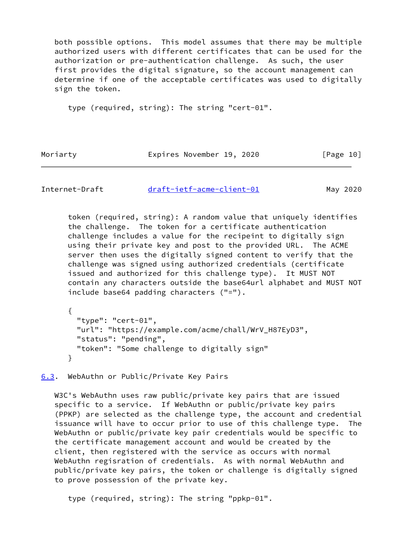both possible options. This model assumes that there may be multiple authorized users with different certificates that can be used for the authorization or pre-authentication challenge. As such, the user first provides the digital signature, so the account management can determine if one of the acceptable certificates was used to digitally sign the token.

type (required, string): The string "cert-01".

Moriarty **Expires November 19, 2020** [Page 10]

<span id="page-11-1"></span>Internet-Draft [draft-ietf-acme-client-01](https://datatracker.ietf.org/doc/pdf/draft-ietf-acme-client-01) May 2020

 token (required, string): A random value that uniquely identifies the challenge. The token for a certificate authentication challenge includes a value for the recipeint to digitally sign using their private key and post to the provided URL. The ACME server then uses the digitally signed content to verify that the challenge was signed using authorized credentials (certificate issued and authorized for this challenge type). It MUST NOT contain any characters outside the base64url alphabet and MUST NOT include base64 padding characters ("=").

 { "type": "cert-01", "url": "https://example.com/acme/chall/WrV\_H87EyD3", "status": "pending", "token": "Some challenge to digitally sign" }

<span id="page-11-0"></span>[6.3](#page-11-0). WebAuthn or Public/Private Key Pairs

 W3C's WebAuthn uses raw public/private key pairs that are issued specific to a service. If WebAuthn or public/private key pairs (PPKP) are selected as the challenge type, the account and credential issuance will have to occur prior to use of this challenge type. The WebAuthn or public/private key pair credentials would be specific to the certificate management account and would be created by the client, then registered with the service as occurs with normal WebAuthn regisration of credentials. As with normal WebAuthn and public/private key pairs, the token or challenge is digitally signed to prove possession of the private key.

type (required, string): The string "ppkp-01".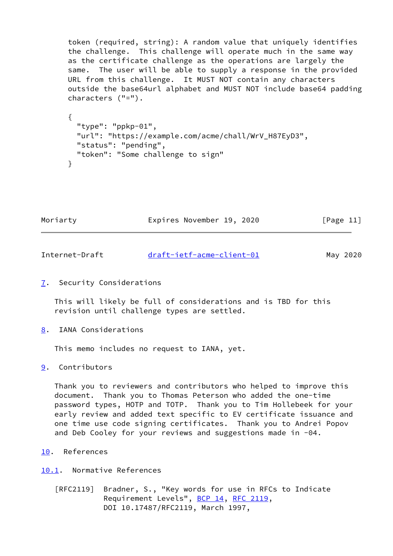token (required, string): A random value that uniquely identifies the challenge. This challenge will operate much in the same way as the certificate challenge as the operations are largely the same. The user will be able to supply a response in the provided URL from this challenge. It MUST NOT contain any characters outside the base64url alphabet and MUST NOT include base64 padding characters ("=").

```
 {
  "type": "ppkp-01",
  "url": "https://example.com/acme/chall/WrV_H87EyD3",
  "status": "pending",
  "token": "Some challenge to sign"
}
```
Moriarty **Expires November 19, 2020** [Page 11]

<span id="page-12-1"></span>Internet-Draft [draft-ietf-acme-client-01](https://datatracker.ietf.org/doc/pdf/draft-ietf-acme-client-01) May 2020

<span id="page-12-0"></span>[7](#page-12-0). Security Considerations

 This will likely be full of considerations and is TBD for this revision until challenge types are settled.

<span id="page-12-2"></span>[8](#page-12-2). IANA Considerations

This memo includes no request to IANA, yet.

<span id="page-12-3"></span>[9](#page-12-3). Contributors

 Thank you to reviewers and contributors who helped to improve this document. Thank you to Thomas Peterson who added the one-time password types, HOTP and TOTP. Thank you to Tim Hollebeek for your early review and added text specific to EV certificate issuance and one time use code signing certificates. Thank you to Andrei Popov and Deb Cooley for your reviews and suggestions made in -04.

<span id="page-12-4"></span>[10.](#page-12-4) References

<span id="page-12-5"></span>[10.1](#page-12-5). Normative References

 [RFC2119] Bradner, S., "Key words for use in RFCs to Indicate Requirement Levels", [BCP 14](https://datatracker.ietf.org/doc/pdf/bcp14), [RFC 2119](https://datatracker.ietf.org/doc/pdf/rfc2119), DOI 10.17487/RFC2119, March 1997,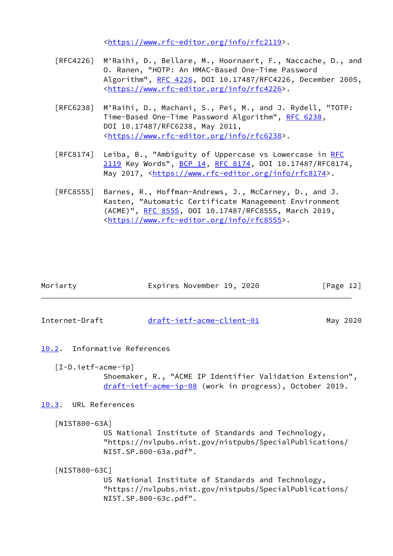<[https://www.rfc-editor.org/info/rfc2119>](https://www.rfc-editor.org/info/rfc2119).

- [RFC4226] M'Raihi, D., Bellare, M., Hoornaert, F., Naccache, D., and O. Ranen, "HOTP: An HMAC-Based One-Time Password Algorithm", [RFC 4226,](https://datatracker.ietf.org/doc/pdf/rfc4226) DOI 10.17487/RFC4226, December 2005, <[https://www.rfc-editor.org/info/rfc4226>](https://www.rfc-editor.org/info/rfc4226).
- [RFC6238] M'Raihi, D., Machani, S., Pei, M., and J. Rydell, "TOTP: Time-Based One-Time Password Algorithm", [RFC 6238,](https://datatracker.ietf.org/doc/pdf/rfc6238) DOI 10.17487/RFC6238, May 2011, <[https://www.rfc-editor.org/info/rfc6238>](https://www.rfc-editor.org/info/rfc6238).
- [RFC8174] Leiba, B., "Ambiguity of Uppercase vs Lowercase in [RFC](https://datatracker.ietf.org/doc/pdf/rfc2119) [2119](https://datatracker.ietf.org/doc/pdf/rfc2119) Key Words", [BCP 14](https://datatracker.ietf.org/doc/pdf/bcp14), [RFC 8174,](https://datatracker.ietf.org/doc/pdf/rfc8174) DOI 10.17487/RFC8174, May 2017, [<https://www.rfc-editor.org/info/rfc8174](https://www.rfc-editor.org/info/rfc8174)>.
- [RFC8555] Barnes, R., Hoffman-Andrews, J., McCarney, D., and J. Kasten, "Automatic Certificate Management Environment (ACME)", [RFC 8555,](https://datatracker.ietf.org/doc/pdf/rfc8555) DOI 10.17487/RFC8555, March 2019, <[https://www.rfc-editor.org/info/rfc8555>](https://www.rfc-editor.org/info/rfc8555).

| Moriarty | Expires November 19, 2020 | [Page 12] |
|----------|---------------------------|-----------|
|          |                           |           |

<span id="page-13-1"></span>Internet-Draft [draft-ietf-acme-client-01](https://datatracker.ietf.org/doc/pdf/draft-ietf-acme-client-01) May 2020

- <span id="page-13-0"></span>[10.2](#page-13-0). Informative References
	- [I-D.ietf-acme-ip]

 Shoemaker, R., "ACME IP Identifier Validation Extension", [draft-ietf-acme-ip-08](https://datatracker.ietf.org/doc/pdf/draft-ietf-acme-ip-08) (work in progress), October 2019.

# <span id="page-13-2"></span>[10.3](#page-13-2). URL References

<span id="page-13-3"></span>[NIST800-63A]

 US National Institute of Standards and Technology, "https://nvlpubs.nist.gov/nistpubs/SpecialPublications/ NIST.SP.800-63a.pdf".

#### <span id="page-13-4"></span>[NIST800-63C]

 US National Institute of Standards and Technology, "https://nvlpubs.nist.gov/nistpubs/SpecialPublications/ NIST.SP.800-63c.pdf".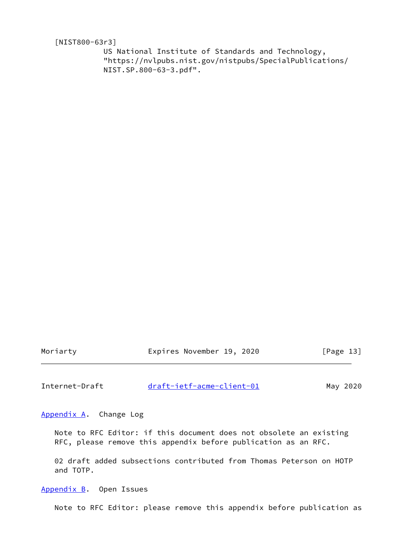<span id="page-14-3"></span>[NIST800-63r3]

 US National Institute of Standards and Technology, "https://nvlpubs.nist.gov/nistpubs/SpecialPublications/ NIST.SP.800-63-3.pdf".

Moriarty **Expires November 19, 2020** [Page 13]

<span id="page-14-1"></span>Internet-Draft [draft-ietf-acme-client-01](https://datatracker.ietf.org/doc/pdf/draft-ietf-acme-client-01) May 2020

<span id="page-14-0"></span>[Appendix A.](#page-14-0) Change Log

 Note to RFC Editor: if this document does not obsolete an existing RFC, please remove this appendix before publication as an RFC.

 02 draft added subsections contributed from Thomas Peterson on HOTP and TOTP.

<span id="page-14-2"></span>[Appendix B.](#page-14-2) Open Issues

Note to RFC Editor: please remove this appendix before publication as